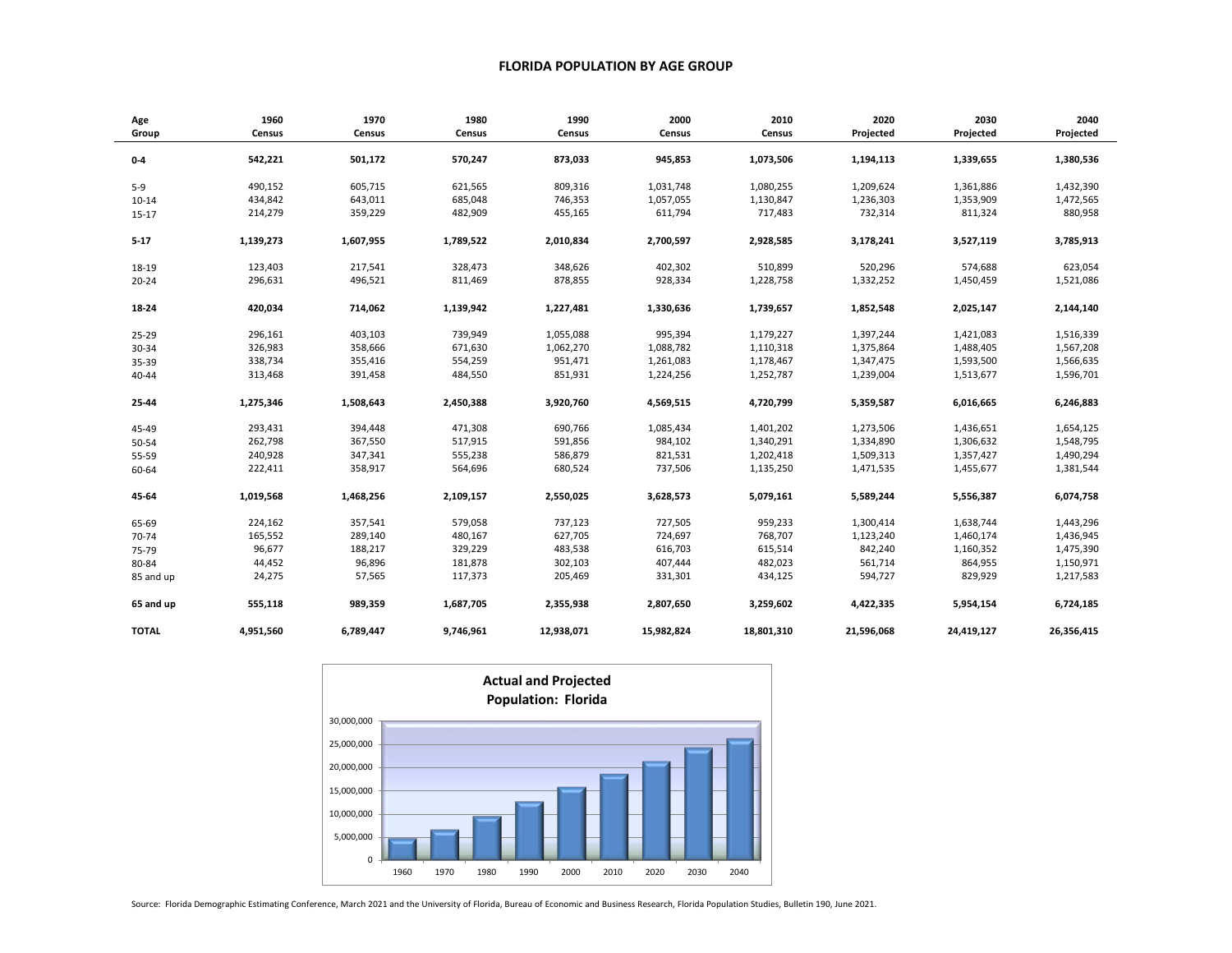## **FLORIDA POPULATION BY AGE GROUP**

| Age          | 1960      | 1970      | 1980      | 1990       | 2000       | 2010       | 2020       | 2030       | 2040       |
|--------------|-----------|-----------|-----------|------------|------------|------------|------------|------------|------------|
| Group        | Census    | Census    | Census    | Census     | Census     | Census     | Projected  | Projected  | Projected  |
|              |           |           |           |            |            |            |            |            |            |
| $0-4$        | 542,221   | 501,172   | 570,247   | 873,033    | 945,853    | 1,073,506  | 1,194,113  | 1,339,655  | 1,380,536  |
| $5-9$        | 490,152   | 605,715   | 621,565   | 809,316    | 1,031,748  | 1,080,255  | 1,209,624  | 1,361,886  | 1,432,390  |
| $10 - 14$    | 434,842   | 643,011   | 685,048   | 746,353    | 1,057,055  | 1,130,847  | 1,236,303  | 1,353,909  | 1,472,565  |
| $15 - 17$    | 214,279   | 359,229   | 482,909   | 455,165    | 611,794    | 717,483    | 732,314    | 811,324    | 880,958    |
| $5 - 17$     | 1,139,273 | 1,607,955 | 1,789,522 | 2,010,834  | 2,700,597  | 2,928,585  | 3,178,241  | 3,527,119  | 3,785,913  |
| 18-19        | 123,403   | 217,541   | 328,473   | 348,626    | 402,302    | 510,899    | 520,296    | 574,688    | 623,054    |
| $20 - 24$    | 296,631   | 496,521   | 811,469   | 878,855    | 928,334    | 1,228,758  | 1,332,252  | 1,450,459  | 1,521,086  |
|              |           |           |           |            |            |            |            |            |            |
| 18-24        | 420,034   | 714,062   | 1,139,942 | 1,227,481  | 1,330,636  | 1,739,657  | 1,852,548  | 2,025,147  | 2,144,140  |
| $25 - 29$    | 296,161   | 403,103   | 739,949   | 1,055,088  | 995,394    | 1,179,227  | 1,397,244  | 1,421,083  | 1,516,339  |
| 30-34        | 326,983   | 358,666   | 671,630   | 1,062,270  | 1,088,782  | 1,110,318  | 1,375,864  | 1,488,405  | 1,567,208  |
| 35-39        | 338,734   | 355,416   | 554,259   | 951,471    | 1,261,083  | 1,178,467  | 1,347,475  | 1,593,500  | 1,566,635  |
| 40-44        | 313,468   | 391,458   | 484,550   | 851,931    | 1,224,256  | 1,252,787  | 1,239,004  | 1,513,677  | 1,596,701  |
| 25-44        | 1,275,346 | 1,508,643 | 2,450,388 | 3,920,760  | 4,569,515  | 4,720,799  | 5,359,587  | 6,016,665  | 6,246,883  |
| 45-49        | 293,431   | 394,448   | 471,308   | 690,766    | 1,085,434  | 1,401,202  | 1,273,506  | 1,436,651  | 1,654,125  |
| 50-54        | 262,798   | 367,550   | 517,915   | 591,856    | 984,102    | 1,340,291  | 1,334,890  | 1,306,632  | 1,548,795  |
| 55-59        | 240,928   | 347,341   | 555,238   | 586,879    | 821,531    | 1,202,418  | 1,509,313  | 1,357,427  | 1,490,294  |
| 60-64        | 222,411   | 358,917   | 564,696   | 680,524    | 737,506    | 1,135,250  | 1,471,535  | 1,455,677  | 1,381,544  |
| 45-64        | 1,019,568 | 1,468,256 | 2,109,157 | 2,550,025  | 3,628,573  | 5,079,161  | 5,589,244  | 5,556,387  | 6,074,758  |
| 65-69        | 224,162   | 357,541   | 579,058   | 737,123    | 727,505    | 959,233    | 1,300,414  | 1,638,744  | 1,443,296  |
| 70-74        | 165,552   | 289,140   | 480,167   | 627,705    | 724,697    | 768,707    | 1,123,240  | 1,460,174  | 1,436,945  |
| 75-79        | 96,677    | 188,217   | 329,229   | 483,538    | 616,703    | 615,514    | 842,240    | 1,160,352  | 1,475,390  |
| 80-84        | 44,452    | 96,896    | 181,878   | 302,103    | 407,444    | 482,023    | 561,714    | 864,955    | 1,150,971  |
| 85 and up    | 24,275    | 57,565    | 117,373   | 205,469    | 331,301    | 434,125    | 594,727    | 829,929    | 1,217,583  |
| 65 and up    | 555,118   | 989,359   | 1,687,705 | 2,355,938  | 2,807,650  | 3,259,602  | 4,422,335  | 5,954,154  | 6,724,185  |
| <b>TOTAL</b> | 4,951,560 | 6,789,447 | 9,746,961 | 12,938,071 | 15,982,824 | 18,801,310 | 21,596,068 | 24,419,127 | 26,356,415 |



Source: Florida Demographic Estimating Conference, March 2021 and the University of Florida, Bureau of Economic and Business Research, Florida Population Studies, Bulletin 190, June 2021.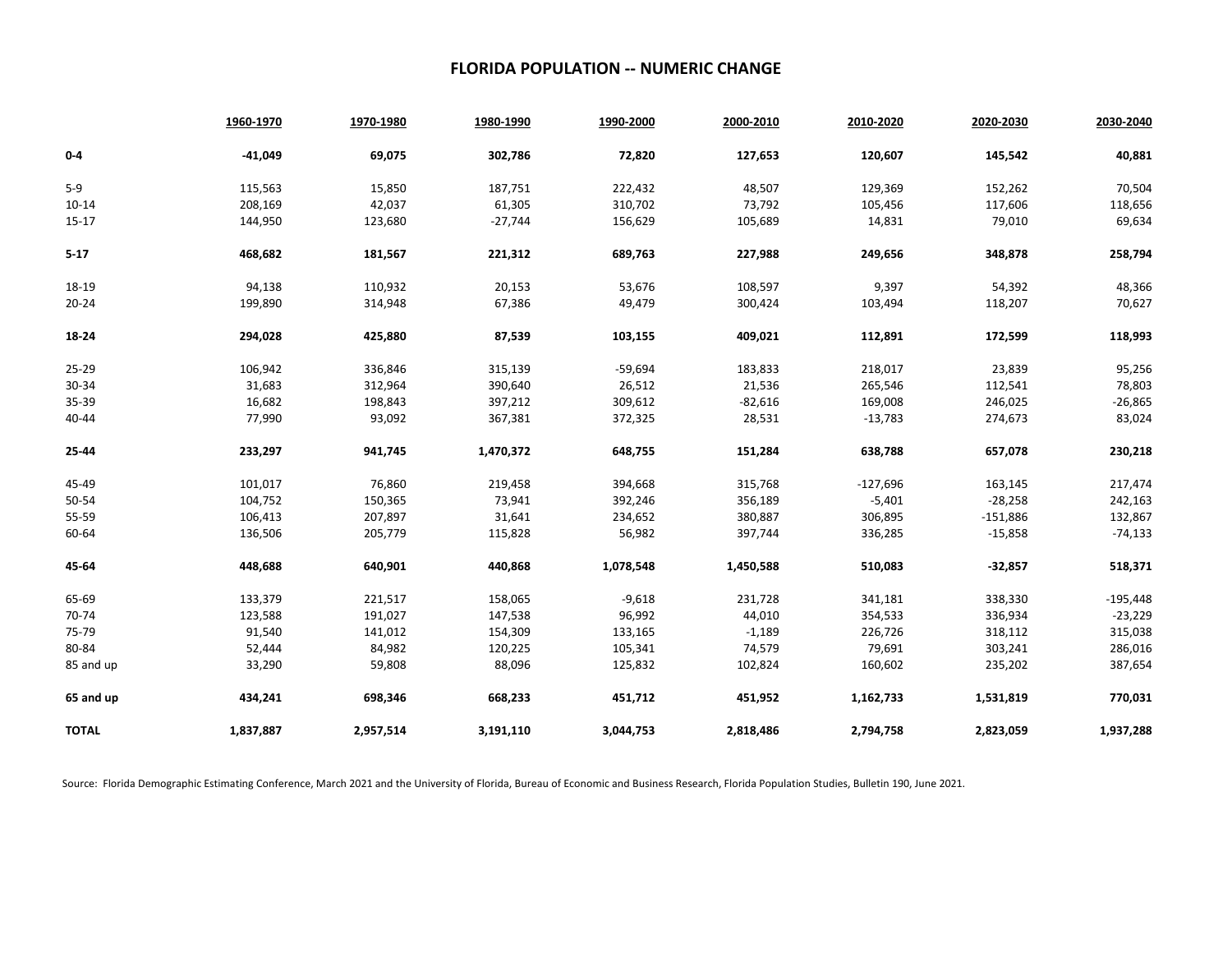## **FLORIDA POPULATION -- NUMERIC CHANGE**

|              | 1960-1970 | 1970-1980 | 1980-1990 | 1990-2000 | 2000-2010 | 2010-2020  | 2020-2030  | 2030-2040  |
|--------------|-----------|-----------|-----------|-----------|-----------|------------|------------|------------|
| $0-4$        | $-41,049$ | 69,075    | 302,786   | 72,820    | 127,653   | 120,607    | 145,542    | 40,881     |
| $5-9$        | 115,563   | 15,850    | 187,751   | 222,432   | 48,507    | 129,369    | 152,262    | 70,504     |
| $10 - 14$    | 208,169   | 42,037    | 61,305    | 310,702   | 73,792    | 105,456    | 117,606    | 118,656    |
| $15-17$      | 144,950   | 123,680   | $-27,744$ | 156,629   | 105,689   | 14,831     | 79,010     | 69,634     |
| $5 - 17$     | 468,682   | 181,567   | 221,312   | 689,763   | 227,988   | 249,656    | 348,878    | 258,794    |
| 18-19        | 94,138    | 110,932   | 20,153    | 53,676    | 108,597   | 9,397      | 54,392     | 48,366     |
| $20 - 24$    | 199,890   | 314,948   | 67,386    | 49,479    | 300,424   | 103,494    | 118,207    | 70,627     |
| 18-24        | 294,028   | 425,880   | 87,539    | 103,155   | 409,021   | 112,891    | 172,599    | 118,993    |
| 25-29        | 106,942   | 336,846   | 315,139   | $-59,694$ | 183,833   | 218,017    | 23,839     | 95,256     |
| 30-34        | 31,683    | 312,964   | 390,640   | 26,512    | 21,536    | 265,546    | 112,541    | 78,803     |
| 35-39        | 16,682    | 198,843   | 397,212   | 309,612   | $-82,616$ | 169,008    | 246,025    | $-26,865$  |
| 40-44        | 77,990    | 93,092    | 367,381   | 372,325   | 28,531    | $-13,783$  | 274,673    | 83,024     |
| 25-44        | 233,297   | 941,745   | 1,470,372 | 648,755   | 151,284   | 638,788    | 657,078    | 230,218    |
| 45-49        | 101,017   | 76,860    | 219,458   | 394,668   | 315,768   | $-127,696$ | 163,145    | 217,474    |
| 50-54        | 104,752   | 150,365   | 73,941    | 392,246   | 356,189   | $-5,401$   | $-28,258$  | 242,163    |
| 55-59        | 106,413   | 207,897   | 31,641    | 234,652   | 380,887   | 306,895    | $-151,886$ | 132,867    |
| 60-64        | 136,506   | 205,779   | 115,828   | 56,982    | 397,744   | 336,285    | $-15,858$  | $-74,133$  |
| 45-64        | 448,688   | 640,901   | 440,868   | 1,078,548 | 1,450,588 | 510,083    | $-32,857$  | 518,371    |
| 65-69        | 133,379   | 221,517   | 158,065   | $-9,618$  | 231,728   | 341,181    | 338,330    | $-195,448$ |
| 70-74        | 123,588   | 191,027   | 147,538   | 96,992    | 44,010    | 354,533    | 336,934    | $-23,229$  |
| 75-79        | 91,540    | 141,012   | 154,309   | 133,165   | $-1,189$  | 226,726    | 318,112    | 315,038    |
| 80-84        | 52,444    | 84,982    | 120,225   | 105,341   | 74,579    | 79,691     | 303,241    | 286,016    |
| 85 and up    | 33,290    | 59,808    | 88,096    | 125,832   | 102,824   | 160,602    | 235,202    | 387,654    |
| 65 and up    | 434,241   | 698,346   | 668,233   | 451,712   | 451,952   | 1,162,733  | 1,531,819  | 770,031    |
| <b>TOTAL</b> | 1,837,887 | 2,957,514 | 3,191,110 | 3,044,753 | 2,818,486 | 2,794,758  | 2,823,059  | 1,937,288  |

Source: Florida Demographic Estimating Conference, March 2021 and the University of Florida, Bureau of Economic and Business Research, Florida Population Studies, Bulletin 190, June 2021.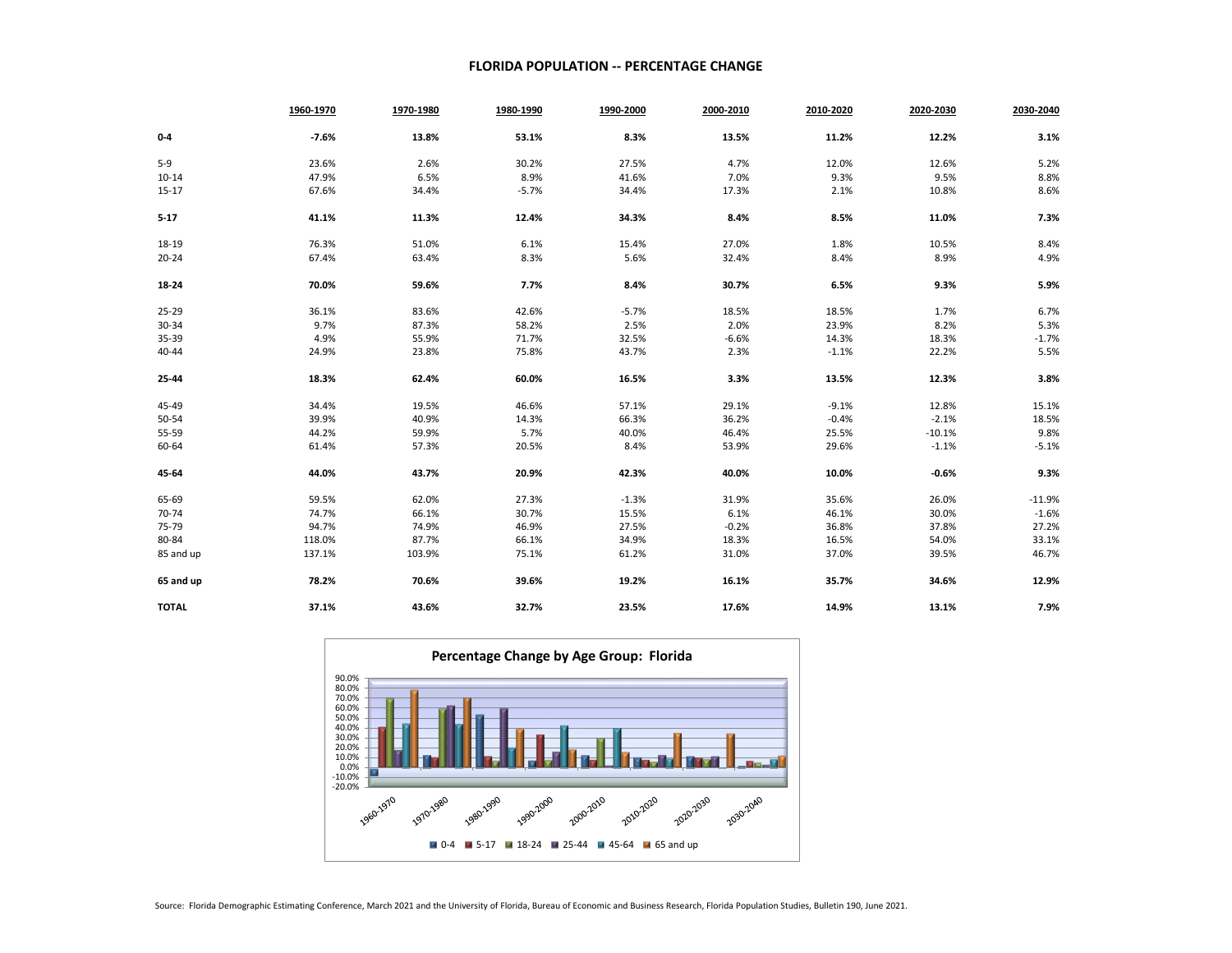## **FLORIDA POPULATION -- PERCENTAGE CHANGE**

|              | 1960-1970 | 1970-1980 | 1980-1990 | 1990-2000 | 2000-2010 | 2010-2020 | 2020-2030 | 2030-2040 |
|--------------|-----------|-----------|-----------|-----------|-----------|-----------|-----------|-----------|
| $0-4$        | $-7.6%$   | 13.8%     | 53.1%     | 8.3%      | 13.5%     | 11.2%     | 12.2%     | 3.1%      |
| $5 - 9$      | 23.6%     | 2.6%      | 30.2%     | 27.5%     | 4.7%      | 12.0%     | 12.6%     | 5.2%      |
| $10 - 14$    | 47.9%     | 6.5%      | 8.9%      | 41.6%     | 7.0%      | 9.3%      | 9.5%      | 8.8%      |
| $15 - 17$    | 67.6%     | 34.4%     | $-5.7%$   | 34.4%     | 17.3%     | 2.1%      | 10.8%     | 8.6%      |
| $5 - 17$     | 41.1%     | 11.3%     | 12.4%     | 34.3%     | 8.4%      | 8.5%      | 11.0%     | 7.3%      |
| 18-19        | 76.3%     | 51.0%     | 6.1%      | 15.4%     | 27.0%     | 1.8%      | 10.5%     | 8.4%      |
| $20 - 24$    | 67.4%     | 63.4%     | 8.3%      | 5.6%      | 32.4%     | 8.4%      | 8.9%      | 4.9%      |
| 18-24        | 70.0%     | 59.6%     | 7.7%      | 8.4%      | 30.7%     | 6.5%      | 9.3%      | 5.9%      |
| $25 - 29$    | 36.1%     | 83.6%     | 42.6%     | $-5.7%$   | 18.5%     | 18.5%     | 1.7%      | 6.7%      |
| 30-34        | 9.7%      | 87.3%     | 58.2%     | 2.5%      | 2.0%      | 23.9%     | 8.2%      | 5.3%      |
| 35-39        | 4.9%      | 55.9%     | 71.7%     | 32.5%     | $-6.6%$   | 14.3%     | 18.3%     | $-1.7%$   |
| 40-44        | 24.9%     | 23.8%     | 75.8%     | 43.7%     | 2.3%      | $-1.1%$   | 22.2%     | 5.5%      |
| 25-44        | 18.3%     | 62.4%     | 60.0%     | 16.5%     | 3.3%      | 13.5%     | 12.3%     | 3.8%      |
| 45-49        | 34.4%     | 19.5%     | 46.6%     | 57.1%     | 29.1%     | $-9.1%$   | 12.8%     | 15.1%     |
| 50-54        | 39.9%     | 40.9%     | 14.3%     | 66.3%     | 36.2%     | $-0.4%$   | $-2.1%$   | 18.5%     |
| 55-59        | 44.2%     | 59.9%     | 5.7%      | 40.0%     | 46.4%     | 25.5%     | $-10.1%$  | 9.8%      |
| 60-64        | 61.4%     | 57.3%     | 20.5%     | 8.4%      | 53.9%     | 29.6%     | $-1.1%$   | $-5.1%$   |
| 45-64        | 44.0%     | 43.7%     | 20.9%     | 42.3%     | 40.0%     | 10.0%     | $-0.6%$   | 9.3%      |
| 65-69        | 59.5%     | 62.0%     | 27.3%     | $-1.3%$   | 31.9%     | 35.6%     | 26.0%     | $-11.9%$  |
| 70-74        | 74.7%     | 66.1%     | 30.7%     | 15.5%     | 6.1%      | 46.1%     | 30.0%     | $-1.6%$   |
| 75-79        | 94.7%     | 74.9%     | 46.9%     | 27.5%     | $-0.2%$   | 36.8%     | 37.8%     | 27.2%     |
| 80-84        | 118.0%    | 87.7%     | 66.1%     | 34.9%     | 18.3%     | 16.5%     | 54.0%     | 33.1%     |
| 85 and up    | 137.1%    | 103.9%    | 75.1%     | 61.2%     | 31.0%     | 37.0%     | 39.5%     | 46.7%     |
| 65 and up    | 78.2%     | 70.6%     | 39.6%     | 19.2%     | 16.1%     | 35.7%     | 34.6%     | 12.9%     |
| <b>TOTAL</b> | 37.1%     | 43.6%     | 32.7%     | 23.5%     | 17.6%     | 14.9%     | 13.1%     | 7.9%      |